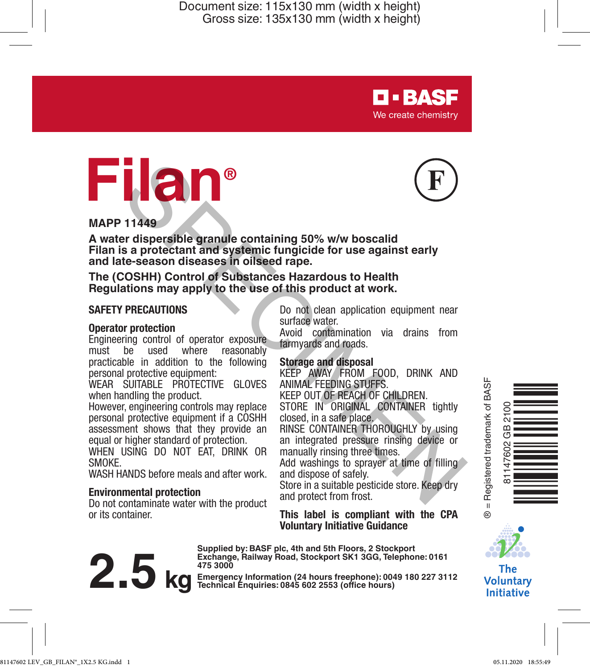



**D-BASF** We create chemistry

#### **MAPP 11449**

**A water dispersible granule containing 50% w/w boscalid Filan is a protectant and systemic fungicide for use against early and late-season diseases in oilseed rape.** The stage of the protocol and system is a protocol and the season diseases in oilseed rape.<br>
Sea protectant and system is the season diseases in oilseed rape.<br>
COSHH) Control of Substances Hazardous to Health<br>
ations may a

**The (COSHH) Control of Substances Hazardous to Health Regulations may apply to the use of this product at work.**

#### **SAFETY PRECAUTIONS**

#### **Operator protection**

Engineering control of operator exposure must be used where reasonably practicable in addition to the following personal protective equipment:

WEAR SUITABLE PROTECTIVE GLOVES when handling the product.

However, engineering controls may replace personal protective equipment if a COSHH assessment shows that they provide an equal or higher standard of protection.

WHEN USING DO NOT EAT, DRINK OR SMOKE.

WASH HANDS before meals and after work.

#### **Environmental protection**

Do not contaminate water with the product or its container.

Do not clean application equipment near surface water.

Avoid contamination via drains from farmyards and roads.

#### **Storage and disposal**

KEEP AWAY FROM FOOD, DRINK AND ANIMAL FEEDING STUFFS.

KEEP OUT OF REACH OF CHILDREN.

STORE IN ORIGINAL CONTAINER tightly closed, in a safe place.

RINSE CONTAINER THOROUGHLY by using an integrated pressure rinsing device or manually rinsing three times.

Add washings to sprayer at time of filling and dispose of safely.

Store in a suitable pesticide store. Keep dry and protect from frost.

#### **This label is compliant with the CPA Voluntary Initiative Guidance**



**Supplied by: BASF plc, 4th and 5th Floors, 2 Stockport Exchange, Railway Road, Stockport SK1 3GG, Telephone: 0161 475 3000**

**Exchange, natitively noatd, Stockholm (24 hours freephone): 0049 180 227 3112**<br> **2.5 kg** Emerging Technical Enquiries: 0845 602 2553 (office hours)





**The Voluntary Initiative**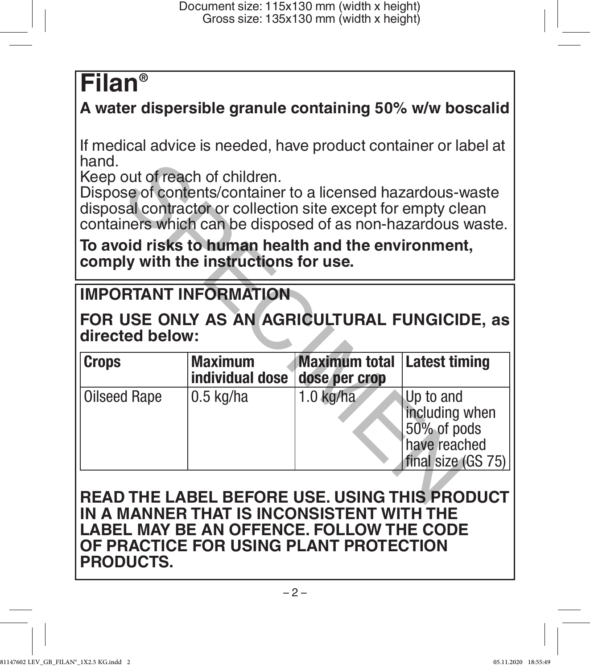# **Filan®**

# **A water dispersible granule containing 50% w/w boscalid**

If medical advice is needed, have product container or label at hand.

## **To avoid risks to human health and the environment, comply with the instructions for use.**

# **IMPORTANT INFORMATION**

| nang.                                                            | Keep out of reach of children.<br>Dispose of contents/container to a licensed hazardous-waste<br>disposal contractor or collection site except for empty clean<br>containers which can be disposed of as non-hazardous waste. |                                       |                                                                                  |
|------------------------------------------------------------------|-------------------------------------------------------------------------------------------------------------------------------------------------------------------------------------------------------------------------------|---------------------------------------|----------------------------------------------------------------------------------|
|                                                                  | To avoid risks to human health and the environment,<br>comply with the instructions for use.                                                                                                                                  |                                       |                                                                                  |
| <b>IMPORTANT INFORMATION</b>                                     |                                                                                                                                                                                                                               |                                       |                                                                                  |
| FOR USE ONLY AS AN AGRICULTURAL FUNGICIDE, as<br>directed below: |                                                                                                                                                                                                                               |                                       |                                                                                  |
| <b>Crops</b>                                                     | <b>Maximum</b><br>individual dose                                                                                                                                                                                             | <b>Maximum total</b><br>dose per crop | <b>Latest timing</b>                                                             |
| Oilseed Rape                                                     | $0.5$ kg/ha                                                                                                                                                                                                                   | $1.0$ kg/ha                           | Up to and<br>including when<br>50% of pods<br>have reached<br>final size (GS 75) |
| READ THE LABEL BEFORE USE. USING THIS PRODUCT                    |                                                                                                                                                                                                                               |                                       |                                                                                  |

### **READ THE LABEL BEFORE USE. USING THIS PRODUCT IN A MANNER THAT IS INCONSISTENT WITH THE LABEL MAY BE AN OFFENCE. FOLLOW THE CODE OF PRACTICE FOR USING PLANT PROTECTION PRODUCTS.**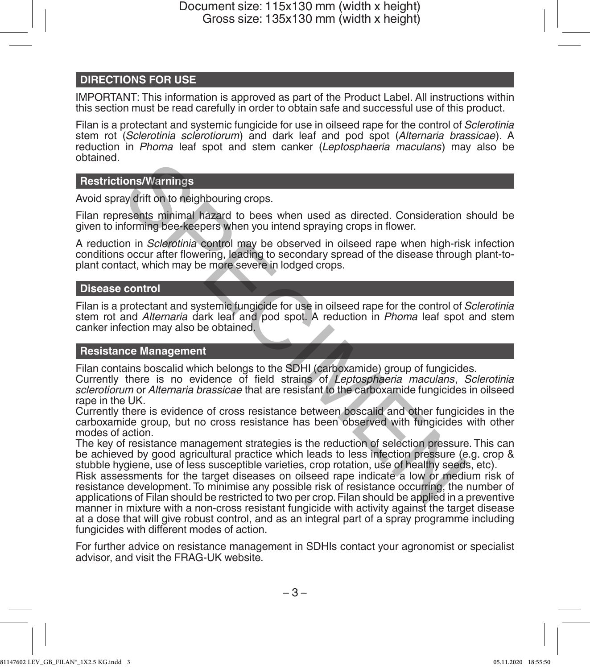#### **DIRECTIONS FOR USE**

IMPORTANT: This information is approved as part of the Product Label. All instructions within this section must be read carefully in order to obtain safe and successful use of this product.

Filan is a protectant and systemic fungicide for use in oilseed rape for the control of *Sclerotinia* stem rot (*Sclerotinia sclerotiorum*) and dark leaf and pod spot (*Alternaria brassicae*). A reduction in *Phoma* leaf spot and stem canker (*Leptosphaeria maculans*) may also be obtained.

#### **Restrictions/Warnings**

Avoid spray drift on to neighbouring crops.

Filan represents minimal hazard to bees when used as directed. Consideration should be given to informing bee-keepers when you intend spraying crops in flower.

A reduction in *Sclerotinia* control may be observed in oilseed rape when high-risk infection conditions occur after flowering, leading to secondary spread of the disease through plant-toplant contact, which may be more severe in lodged crops.

#### **Disease control**

Filan is a protectant and systemic fungicide for use in oilseed rape for the control of *Sclerotinia* stem rot and *Alternaria* dark leaf and pod spot. A reduction in *Phoma* leaf spot and stem canker infection may also be obtained.

#### **Resistance Management**

Filan contains boscalid which belongs to the SDHI (carboxamide) group of fungicides.

Currently there is no evidence of field strains of *Leptosphaeria maculans*, *Sclerotinia sclerotiorum* or *Alternaria brassicae* that are resistant to the carboxamide fungicides in oilseed rape in the UK.

Currently there is evidence of cross resistance between boscalid and other fungicides in the carboxamide group, but no cross resistance has been observed with fungicides with other modes of action.

The key of resistance management strategies is the reduction of selection pressure. This can be achieved by good agricultural practice which leads to less infection pressure (e.g. crop & stubble hygiene, use of less susceptible varieties, crop rotation, use of healthy seeds, etc).

Risk assessments for the target diseases on oilseed rape indicate a low or medium risk of resistance development. To minimise any possible risk of resistance occurring, the number of applications of Filan should be restricted to two per crop. Filan should be applied in a preventive manner in mixture with a non-cross resistant fungicide with activity against the target disease at a dose that will give robust control, and as an integral part of a spray programme including fungicides with different modes of action. ions/Warnings<br>ay drift on to neighbouring crops.<br>esents minimal hazard to bees when used as directed. Consideration is<br>offorming bee-keepers when you intend spraying crops in flower.<br>So cocurrent flowering, leading to seco

For further advice on resistance management in SDHIs contact your agronomist or specialist advisor, and visit the FRAG-UK website.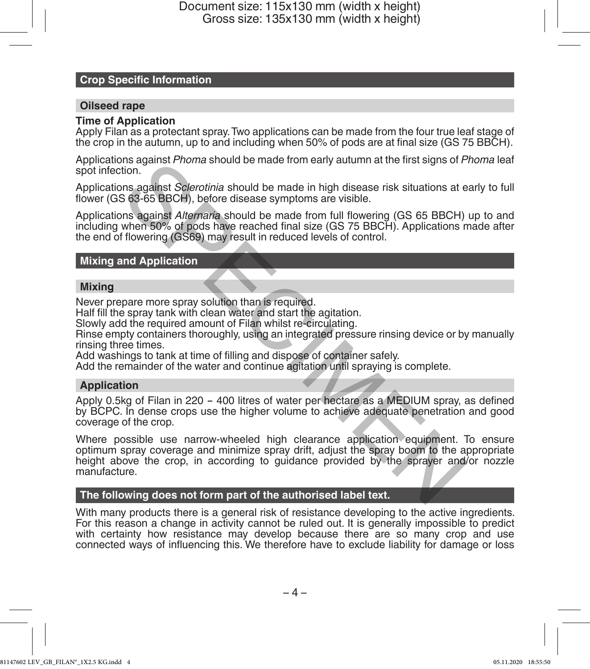#### **Crop Specific Information**

#### **Oilseed rape**

#### **Time of Application**

Apply Filan as a protectant spray. Two applications can be made from the four true leaf stage of the crop in the autumn, up to and including when 50% of pods are at final size (GS 75 BBCH).

Applications against *Phoma* should be made from early autumn at the first signs of *Phoma* leaf spot infection.

Applications against *Sclerotinia* should be made in high disease risk situations at early to full flower (GS 63-65 BBCH), before disease symptoms are visible.

Applications against *Alternaria* should be made from full flowering (GS 65 BBCH) up to and including when 50% of pods have reached final size (GS 75 BBCH). Applications made after the end of flowering (GS69) may result in reduced levels of control.

#### **Mixing and Application**

#### **Mixing**

Never prepare more spray solution than is required.

Half fill the spray tank with clean water and start the agitation.

Slowly add the required amount of Filan whilst re-circulating.

Rinse empty containers thoroughly, using an integrated pressure rinsing device or by manually rinsing three times.

Add washings to tank at time of filling and dispose of container safely.

Add the remainder of the water and continue agitation until spraying is complete.

#### **Application**

Apply 0.5kg of Filan in 220 - 400 litres of water per hectare as a MEDIUM spray, as defined by BCPC. In dense crops use the higher volume to achieve adequate penetration and good coverage of the crop.

Where possible use narrow-wheeled high clearance application equipment. To ensure optimum spray coverage and minimize spray drift, adjust the spray boom to the appropriate height above the crop, in according to guidance provided by the sprayer and/or nozzle manufacture. Insinguist *Priorina* should be made inom early adulmin at the lifts signs of *P*<br>ton.<br>tion.<br>Specifical should be made in high disease risk situations at e<br>sachisf *Alternana* should be made from full flowering (GS 65 BBCH

#### **The following does not form part of the authorised label text.**

With many products there is a general risk of resistance developing to the active ingredients. For this reason a change in activity cannot be ruled out. It is generally impossible to predict with certainty how resistance may develop because there are so many crop and use connected ways of influencing this. We therefore have to exclude liability for damage or loss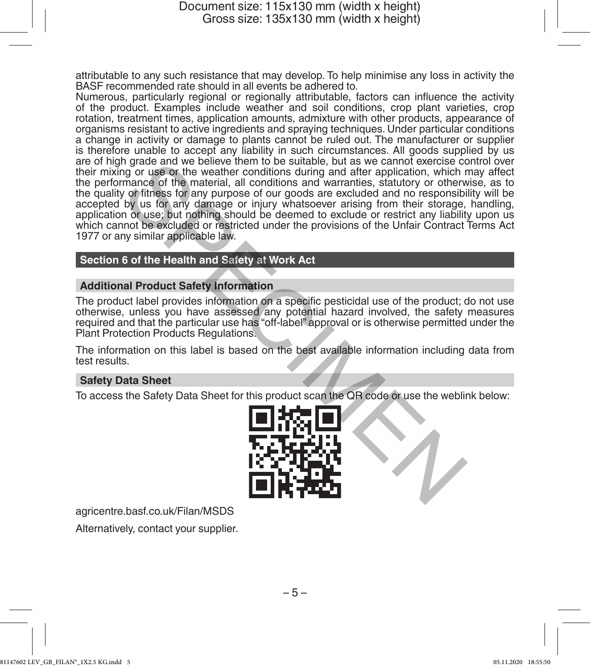attributable to any such resistance that may develop. To help minimise any loss in activity the BASF recommended rate should in all events be adhered to.

Numerous, particularly regional or regionally attributable, factors can influence the activity of the product. Examples include weather and soil conditions, crop plant varieties, crop rotation, treatment times, application amounts, admixture with other products, appearance of organisms resistant to active ingredients and spraying techniques. Under particular conditions a change in activity or damage to plants cannot be ruled out. The manufacturer or supplier is therefore unable to accept any liability in such circumstances. All goods supplied by us are of high grade and we believe them to be suitable, but as we cannot exercise control over their mixing or use or the weather conditions during and after application, which may affect the performance of the material, all conditions and warranties, statutory or otherwise, as to the quality or fitness for any purpose of our goods are excluded and no responsibility will be accepted by us for any damage or injury whatsoever arising from their storage, handling, application or use; but nothing should be deemed to exclude or restrict any liability upon us which cannot be excluded or restricted under the provisions of the Unfair Contract Terms Act 1977 or any similar applicable law. In grade and we believe them to be suitable, but as we cannot exercise contained and we believe them to be suitable, but as we cannot exercise containing and after application, which mance of the material, all conditions a

#### **Section 6 of the Health and Safety at Work Act**

#### **Additional Product Safety Information**

The product label provides information on a specific pesticidal use of the product; do not use otherwise, unless you have assessed any potential hazard involved, the safety measures required and that the particular use has "off-label" approval or is otherwise permitted under the Plant Protection Products Regulations.

The information on this label is based on the best available information including data from test results.

#### **Safety Data Sheet**

To access the Safety Data Sheet for this product scan the QR code or use the weblink below:



agricentre.basf.co.uk/Filan/MSDS

Alternatively, contact your supplier.